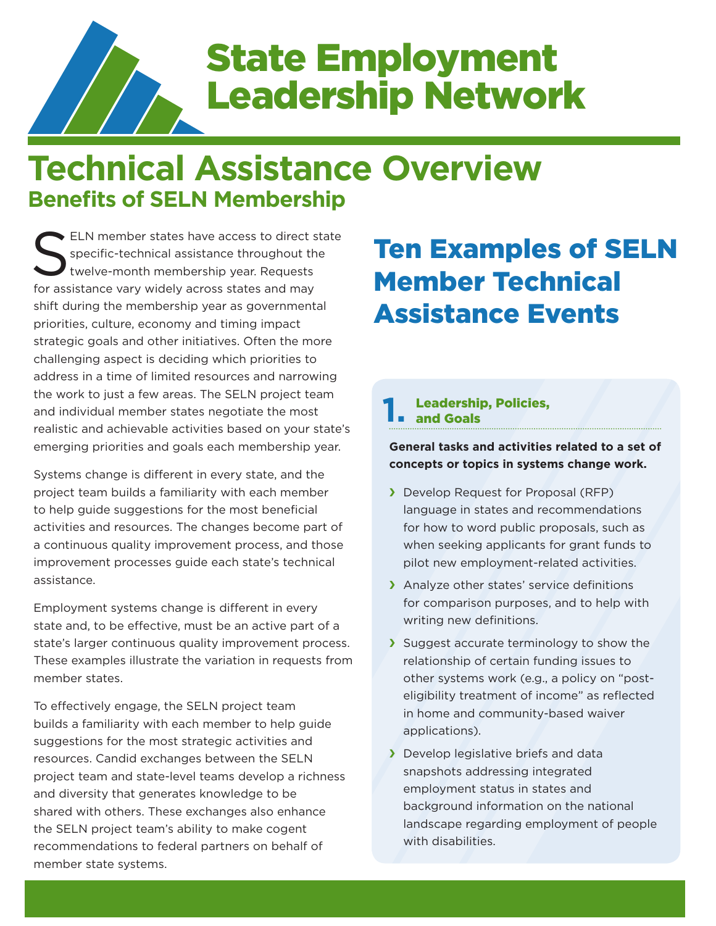

# State Employment Leadership Network

## **Technical Assistance Overview Benefits of SELN Membership**

ELN member states have access to direct state<br>specific-technical assistance throughout the<br>twelve-month membership year. Requests specific-technical assistance throughout the twelve-month membership year. Requests for assistance vary widely across states and may shift during the membership year as governmental priorities, culture, economy and timing impact strategic goals and other initiatives. Often the more challenging aspect is deciding which priorities to address in a time of limited resources and narrowing the work to just a few areas. The SELN project team and individual member states negotiate the most realistic and achievable activities based on your state's emerging priorities and goals each membership year.

Systems change is different in every state, and the project team builds a familiarity with each member to help quide suggestions for the most beneficial activities and resources. The changes become part of a continuous quality improvement process, and those improvement processes guide each state's technical assistance.

Employment systems change is different in every state and, to be effective, must be an active part of a state's larger continuous quality improvement process. These examples illustrate the variation in requests from member states.

To effectively engage, the SELN project team builds a familiarity with each member to help guide suggestions for the most strategic activities and resources. Candid exchanges between the SELN project team and state-level teams develop a richness and diversity that generates knowledge to be shared with others. These exchanges also enhance the SELN project team's ability to make cogent recommendations to federal partners on behalf of member state systems.

## Ten Examples of SELN Member Technical Assistance Events

#### Leadership, Policies, and Goals **1.**

**General tasks and activities related to a set of concepts or topics in systems change work.**

- **Develop Request for Proposal (RFP)** language in states and recommendations for how to word public proposals, such as when seeking applicants for grant funds to pilot new employment-related activities.
- > Analyze other states' service definitions for comparison purposes, and to help with writing new definitions.
- Suggest accurate terminology to show the relationship of certain funding issues to other systems work (e.g., a policy on "posteligibility treatment of income" as reflected in home and community-based waiver applications).
- **S** Develop legislative briefs and data snapshots addressing integrated employment status in states and background information on the national landscape regarding employment of people with disabilities.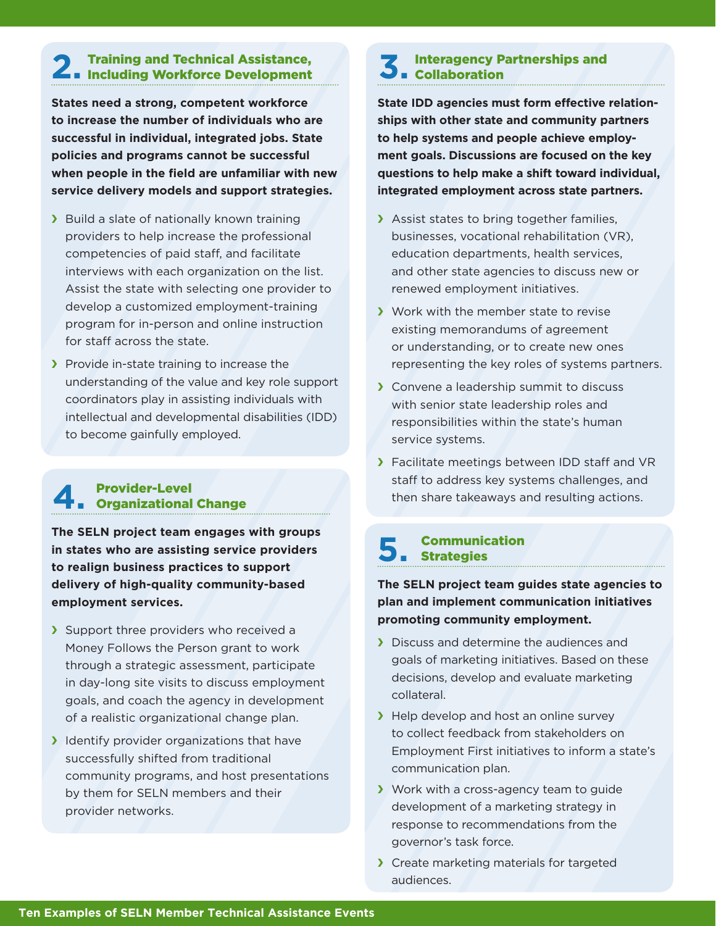### Training and Technical Assistance, 2. Training and Technical Assistance,<br>
2. Including Workforce Development<br>
2.

**States need a strong, competent workforce to increase the number of individuals who are successful in individual, integrated jobs. State policies and programs cannot be successful when people in the field are unfamiliar with new service delivery models and support strategies.**

- > Build a slate of nationally known training providers to help increase the professional competencies of paid staff, and facilitate interviews with each organization on the list. Assist the state with selecting one provider to develop a customized employment-training program for in-person and online instruction for staff across the state.
- $\sum$  Provide in-state training to increase the understanding of the value and key role support coordinators play in assisting individuals with intellectual and developmental disabilities (IDD) to become gainfully employed.

#### Provider-Level Organizational Change **4.**

**The SELN project team engages with groups in states who are assisting service providers to realign business practices to support delivery of high-quality community-based employment services.**

- Support three providers who received a Money Follows the Person grant to work through a strategic assessment, participate in day-long site visits to discuss employment goals, and coach the agency in development of a realistic organizational change plan.
- $\blacktriangleright$  Identify provider organizations that have successfully shifted from traditional community programs, and host presentations by them for SELN members and their provider networks.

### Interagency Partnerships and Collaboration

**State IDD agencies must form effective relationships with other state and community partners to help systems and people achieve employment goals. Discussions are focused on the key questions to help make a shift toward individual, integrated employment across state partners.**

- Assist states to bring together families, businesses, vocational rehabilitation (VR), education departments, health services, and other state agencies to discuss new or renewed employment initiatives.
- S Work with the member state to revise existing memorandums of agreement or understanding, or to create new ones representing the key roles of systems partners.
- State Convene a leadership summit to discuss with senior state leadership roles and responsibilities within the state's human service systems.
- **Facilitate meetings between IDD staff and VR** staff to address key systems challenges, and then share takeaways and resulting actions.

## Communication **5.** Communic

**The SELN project team guides state agencies to plan and implement communication initiatives promoting community employment.**

- **F** Discuss and determine the audiences and goals of marketing initiatives. Based on these decisions, develop and evaluate marketing collateral.
- $\blacktriangleright$  Help develop and host an online survey to collect feedback from stakeholders on Employment First initiatives to inform a state's communication plan.
- Y Work with a cross-agency team to guide development of a marketing strategy in response to recommendations from the governor's task force.
- State marketing materials for targeted audiences.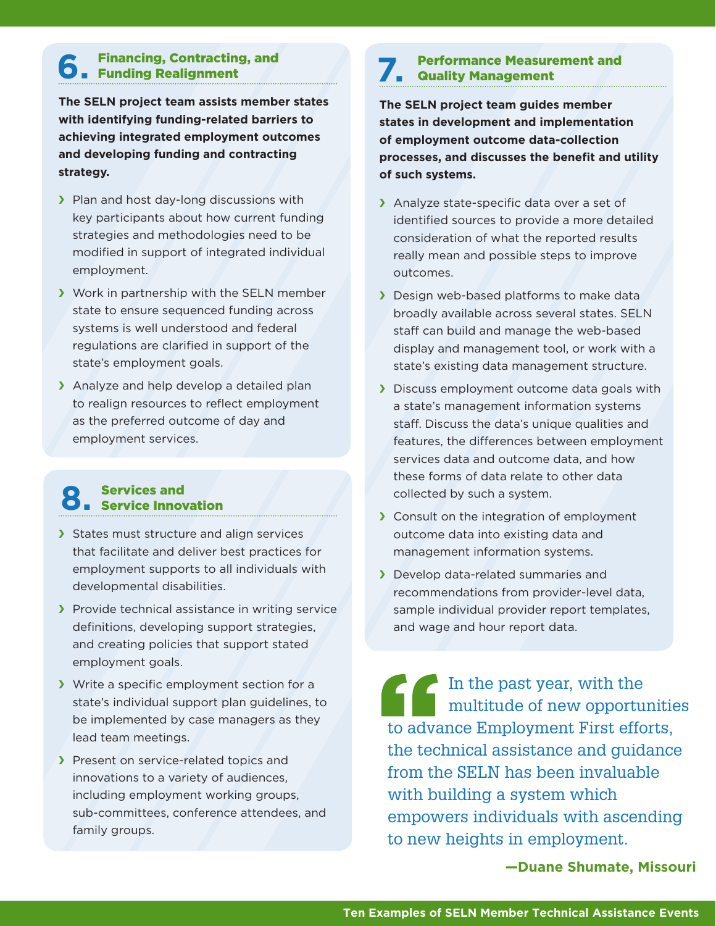## Financing, Contracting, and Funding Realignment **6.**

**The SELN project team assists member states with identifying funding-related barriers to achieving integrated employment outcomes and developing funding and contracting strategy.**

- **Fig. 2** Plan and host day-long discussions with key participants about how current funding strategies and methodologies need to be modified in support of integrated individual employment.
- Status Work in partnership with the SELN member state to ensure sequenced funding across systems is well understood and federal regulations are clarified in support of the state's employment goals.
- > Analyze and help develop a detailed plan to realign resources to reflect employment as the preferred outcome of day and employment services.

#### Services and Service Innovation **8.**

- States must structure and align services that facilitate and deliver best practices for employment supports to all individuals with developmental disabilities.
- **Fig. 2** Provide technical assistance in writing service definitions, developing support strategies, and creating policies that support stated employment goals.
- If Write a specific employment section for a state's individual support plan guidelines, to be implemented by case managers as they lead team meetings.
- **Figure 2** Present on service-related topics and innovations to a variety of audiences, including employment working groups, sub-committees, conference attendees, and family groups.

#### Performance Measurement and Quality Management **7.**

**The SELN project team guides member states in development and implementation of employment outcome data-collection processes, and discusses the benefit and utility of such systems.**

- Analyze state-specific data over a set of identified sources to provide a more detailed consideration of what the reported results really mean and possible steps to improve outcomes.
- **Design web-based platforms to make data** broadly available across several states. SELN staff can build and manage the web-based display and management tool, or work with a state's existing data management structure.
- **Discuss employment outcome data goals with** a state's management information systems staff. Discuss the data's unique qualities and features, the differences between employment services data and outcome data, and how these forms of data relate to other data collected by such a system.
- State Consult on the integration of employment outcome data into existing data and management information systems.
- **F** Develop data-related summaries and recommendations from provider-level data, sample individual provider report templates, and wage and hour report data.

In the past year, with the multitude of new opportunities to advance Employment First efforts, the technical assistance and guidance from the SELN has been invaluable with building a system which empowers individuals with ascending to new heights in employment.

**—Duane Shumate, Missouri**